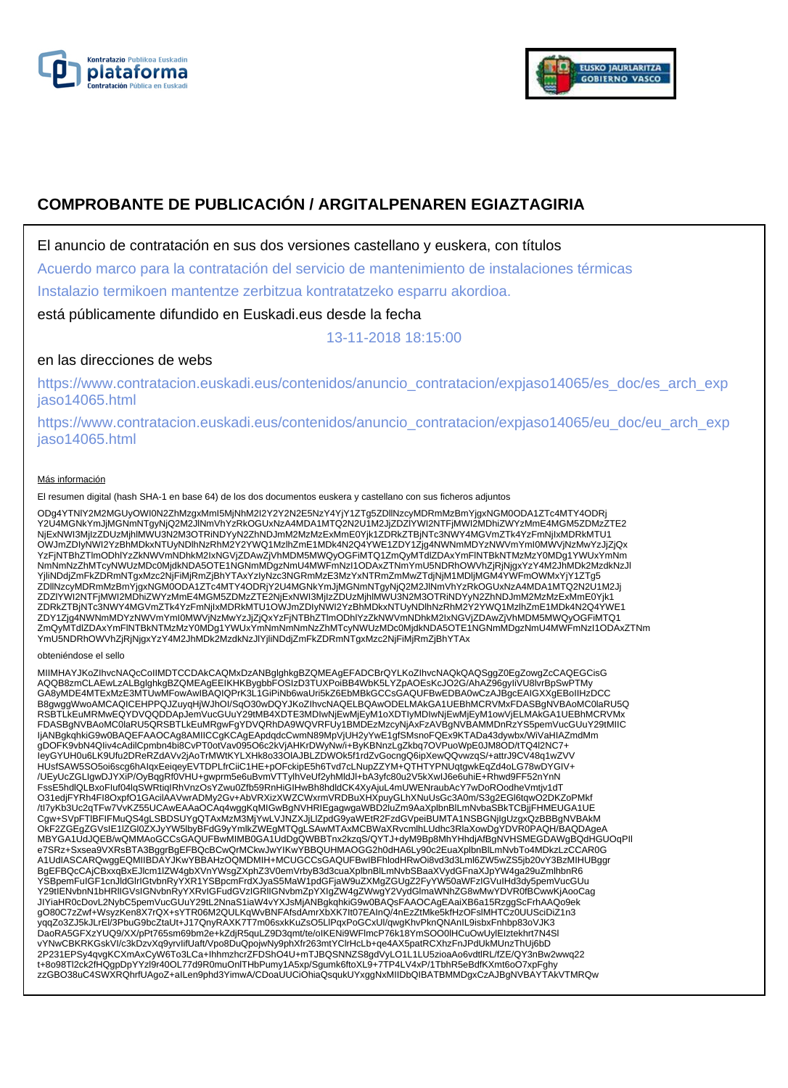



# **COMPROBANTE DE PUBLICACIÓN / ARGITALPENAREN EGIAZTAGIRIA**

El anuncio de contratación en sus dos versiones castellano y euskera, con títulos

Acuerdo marco para la contratación del servicio de mantenimiento de instalaciones térmicas

Instalazio termikoen mantentze zerbitzua kontratatzeko esparru akordioa.

está públicamente difundido en Euskadi.eus desde la fecha

13-11-2018 18:15:00

# en las direcciones de webs

https://www.contratacion.euskadi.eus/contenidos/anuncio\_contratacion/expjaso14065/es\_doc/es\_arch\_exp jaso14065.html

https://www.contratacion.euskadi.eus/contenidos/anuncio\_contratacion/expjaso14065/eu\_doc/eu\_arch\_exp jaso14065.html

#### Más información

El resumen digital (hash SHA-1 en base 64) de los dos documentos euskera y castellano con sus ficheros adjuntos

ODg4YTNIY2M2MGUyOWI0N2ZhMzgxMmI5MjNhM2I2Y2Y2N2E5NzY4YjY1ZTg5ZDllNzcyMDRmMzBmYjgxNGM0ODA1ZTc4MTY4ODRj<br>Y2U4MGNkYmJjMGNmNTgyNjQ2M2JlNmVhYzRkOGUxNzA4MDA1MTQ2N2U1M2JjZDZIYWI2NTFjMWI2MDhiZWYzMmE4MGM5ZDMzZTE2 NjExNWI3MjIzZDUzMjhlMWU3N2M3OTRiNDYyN2ZhNDJmM2MzMzExMmE0Yjk1ZDRkZTBjNTc3NWY4MGVmZTk4YzFmNjIxMDRkMTU1<br>OWJmZDIyNWI2YzBhMDkxNTUyNDlhNzRhM2Y2YWQ1MzlhZmE1MDk4N2Q4YWE1ZDY1Zjg4NWNmMDYzNWVmYmI0MWVjNzMwYzJjZjQx YzFjNTBhZTlmODhlYzZkNWVmNDhkM2IxNGVjZDAwZjVhMDM5MWQyOGFiMTQ1ZmQyMTdlZDAxYmFlNTBkNTMzMzY0MDg1YWUxYmNm NmNmNzZhMTcyNWUzMDc0MjdkNDA5OTE1NGNmMDgzNmU4MWFmNzI1ODAxZTNmYmU5NDRhOWVhZjRjNjgxYzY4M2JhMDk2MzdkNzJl YjliNDdjZmFkZDRmNTgxMzc2NjFiMjRmZjBhYTAxYzIyNzc3NGRmMzE3MzYxNTRmZmMwZTdjNjM1MDljMGM4YWFmOWMxYjY1ZTg5 ZDllNzcyMDRmMzBmYjgxNGM0ODA1ZTc4MTY4ODRjY2U4MGNkYmJjMGNmNTgyNjQ2M2JlNmVhYzRkOGUxNzA4MDA1MTQ2N2U1M2Jj ZDZIYWI2NTFjMWI2MDhiZWYzMmE4MGM5ZDMzZTE2NjExNWI3MjIzZDUzMjhIMWU3N2M3OTRiNDYyN2ZhNDJmM2MzMzExMmE0Yjk1<br>ZDRYZTBjNTc3NWY4MGVmZTk4YzFmNjIxMDRkMTU1OWJmZDIyNWI2YzBhMDkxNTUyNDIhNzRhM2Y2YWQ1MzIhZmE1MDk4N2Q4YWE1<br>ZDY1Zjg4NWNmMDYzNWVm YmU5NDRhOWVhZjRjNjgxYzY4M2JhMDk2MzdkNzJlYjliNDdjZmFkZDRmNTgxMzc2NjFiMjRmZjBhYTAx

#### obteniéndose el sello

MIIMHAYJKoZIhvcNAQcCoIIMDTCCDAkCAQMxDzANBglghkgBZQMEAgEFADCBrQYLKoZIhvcNAQkQAQSggZ0EgZowgZcCAQEGCisG<br>AQQB8zmCLAEwLzALBglghkgBZQMEAgEEIKHKBygbbFOSIzD3TUXPoiBB4WbK5LYZpAOEsKcJO2G/AhAZ96gyIiVU8lvrBpSwPTMy GA8yMDE4MTExMzE3MTUwMFowAwIBAQIQPrK3L1GiPiNb6waUri5kZ6EbMBkGCCsGAQUFBwEDBA0wCzAJBgcEAIGXXgEBoIIHzDCC B8gwggWwoAMCAQICEHPPQJZuyqHjWJhOI/SqO30wDQYJKoZIhvcNAQELBQAwODELMAkGA1UEBhMCRVMxFDASBgNVBAoMC0laRU5Q RSBTLkEuMRMwEQYDVQQDDApJemVucGUuY29tMB4XDTE3MDIwNjEwMjEyM1oXDTIyMDIwNjEwMjEyM1owVjELMAkGA1UEBhMCRVMx FDASBgNVBAoMC0laRU5QRSBTLkEuMRgwFgYDVQRhDA9WQVRFUy1BMDEzMzcyNjAxFzAVBgNVBAMMDnRzYS5pemVucGUuY29tMIIC ljANBgkqhkiG9w0BAQEFAAOCAg8AMIICCgKCAgEApdqdcCwmN89MpVjUH2yYwE1gfSMsnoFQEx9KTADa43dywbx/WiVaHIAZmdMm<br>gDOFK9vbN4Qliv4cAdilCpmbn4bi8CvPT0otVav095O6c2kVjAHKrDWyNw/i+ByKBNnzLgZkbq7OVPuoWpE0JM8OD/tTQ4I2NC7+<br>leyGYUH0u6LK9Ufu2DRe /UEyUcZGLIgwDJYXiP/OyBqgRf0VHU+gwprm5e6uBvmVTTylhVeUf2yhMldJl+bA3yfc80u2V5kXwIJ6e6uhiE+Rhwd9FF52nYnN<br>FssE5hdlQLBxoFluf04lqSWRtiqIRhVnzOsYZwu0Zfb59RnHiGIHwBh8hdldCK4XyAjuL4mUWENraubAcY7wDoROodheVmtjv1dT O31edjFYRh4FI8OxpfO1GAcilAAVwrADMy2Gv+AbVRXizXWZCWxrmVRDBuXHXpuyGLhXNuUsGc3A0m/S3g2EGl6tqwO2DKZoPMkf /tI7yKb3Uc2qTFw7VvKZ55UCAwEAAaOCAq4wggKqMIGwBgNVHRIEgagwgaWBD2luZm9AaXplbnBlLmNvbaSBkTCBjjFHMEUGA1UE Cgw+SVpFTIBFIFMuQS4gLSBDSUYgQTAxMzM3MjYwLVJNZXJjLIZpdG9yaWEtR2FzdGVpeiBUMTA1NSBGNjIgUzgxQzBBBgNVBAkM<br>OkF2ZGEgZGVsIE1IZGI0ZXJyYW5IbyBFdG9yYmlkZWEgMTQgLSAwMTAxMCBWaXRvcmlhLUdhc3RlaXowDgYDVR0PAQH/BAQDAgeA<br>MBYGA1UdJQEB/wQMMAoG A1UdIASCARQwggEQMIIBDAYJKwYBBAHzOQMDMIH+MCUGCCsGAQUFBwIBFhlodHRwOi8vd3d3Lml6ZW5wZS5jb20vY3BzMIHUBggr BgEFBQcCAjCBxxqBxEJlcm1lZW4gbXVnYWsgZXphZ3V0emVrbyB3d3cuaXplbnBlLmNvbSBaaXVydGFnaXJpYW4ga29uZmlhbnR6 YSBpemFuIGF1cnJldGlrIGtvbnRyYXR1YSBpcmFrdXJyaS5MaW1pdGFjaW9uZXMgZGUgZ2FyYW50aWFzIGVuIHd3dy5pemVucGUu Y29tIENvbnN1bHRlIGVsIGNvbnRyYXRvIGFudGVzIGRlIGNvbmZpYXIgZW4gZWwgY2VydGlmaWNhZG8wMwYDVR0fBCwwKjAooCag JIYiaHR0cDovL2NybC5pemVucGUuY29tL2NnaS1iaW4vYXJsMjANBgkqhkiG9w0BAQsFAAOCAgEAaiXB6a15RzggScFrhAAQo9ek<br>gO80C7zZwf+WsyzKen8X7rQX+sYTR06M2QULKqWvBNFAfsdAmrXbXK7lt07EAInQ/4nEzZtMke5kfHzOFslMHTCz0UUSciDiZ1n3 yqqZo3ZJ5kJLrEl/3PbuG9bcZtaUt+J17QnyRAXK7T7m06sxkKuZsO5LlPqxPoGCxUl/qwgKhvPknQNAnIL9isbxFnhbp83oVJK3<br>DaoRA5GFXzYUQ9/XX/pPt765sm69bm2e+kZdjR5quLZ9D3qmt/te/oIKENi9WFlmcP76k18YmSOO0lHCuOwUylEIztekhrt7N4Sl vYNwCBKRKGskVI/c3kDzvXq9yrvIifUaft/Vpo8DuQpojwNy9phXfr263mtYClrHcLb+qe4AX5patRCXhzFnJPdUkMUnzThUj6bD 2P231EPSy4qvgKCXmAxCyW6To3LCa+IhhmzhcrZFDShO4U+mTJBQSNNZS8gdVyLO1L1LU5zioaAo6vdtlRL/fZE/QY3nBw2wwq22 t+8o98Tl2ck2fHQgpDpYYzl9r40OL77d9R0muOnlTHbPumy1A5xp/Sgumk6ftoXL9+7TP4LV4xP/1TbhR5eBdfKXmt6oO7xpFghy zzGBO38uC4SWXRQhrfUAgoZ+aILen9phd3YimwA/CDoaUUCiOhiaQsqukUYxggNxMIIDbQIBATBMMDgxCzAJBgNVBAYTAkVTMRQw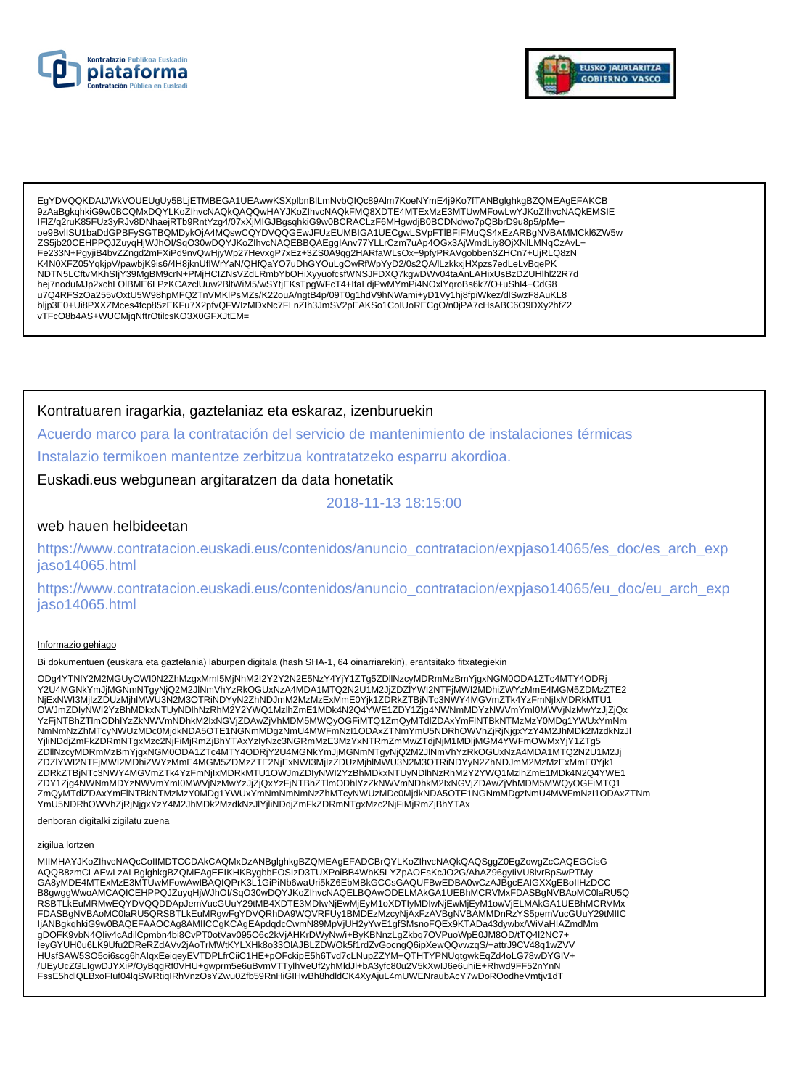



EgYDVQQKDAtJWkVOUEUgUv5BLiETMBEGA1UEAwwKSXplbnBlLmNvbQlQc89Alm7KoeNYmE4i9Ko7fTANBglghkgBZQMEAgEFAKCB 9zAaBqkqhkiG9w0BCQMxDQYLKoZlhvcNAQkQAQQwHAYJKoZlhvcNAQkFMQ8XDTE4MTExMzE3MTUwMFowLwYJKoZlhvcNAQkEMSIE IFIZ/q2ruK85FUz3yRJv8DNhaejRTb9RntYzg4/07xXjMIGJBgsqhkiG9w0BCRACLzF6MHgwdjB0BCDNdwo7pQBbrD9u8p5/pMe+ oe9BvIISU1baDdGPBFySGTBQMDykOjA4MQswCQYDVQQGEwJFUzEUMBIGA1UECgwLSVpFTIBFIFMuQS4xEzARBgNVBAMMCkl6ZW5w ZS5jb20CEHPPQJZuyqHjWJhOl/SqO30wDQYJKoZIhvcNAQEBBQAEgglAnv77YLLrCzm7uAp4OGx3AjWmdLiy8OjXNILMNqCzAvL+ Fe233N+PgyjiB4bvZZngd2mFXiPd9nvQwHjyWp27HevxgP7xEz+3ZS0A9qg2HARfaWLsOx+9pfyPRAVgobben3ZHCn7+UjRLQ8zN in or and the community in the state of the community of the community of the community of the community of the<br>hej7noduMJp2xchLOIBME6LPzKCAzclUuw2BltWiM5/wSYtjEKsTpgWFcT4+IfaLdjPwMYmPi4NOxlYqroBs6k7/O+uShI4+CdG8<br>u7Q4RFSz bljp3E0+Ui8PXXZMces4fcp85zEKFu7X2pfvQFWIzMDxNc7FLnZlh3JmSV2pEAKSo1ColUoRECgO/n0jPA7cHsABC6O9DXy2hfZ2 vTFcO8b4AS+WUCMjqNftrOtilcsKO3X0GFXJtEM=

## Kontratuaren iragarkia, gaztelaniaz eta eskaraz, izenburuekin

Acuerdo marco para la contratación del servicio de mantenimiento de instalaciones térmicas Instalazio termikoen mantentze zerbitzua kontratatzeko esparru akordioa.

Euskadi.eus webgunean argitaratzen da data honetatik

2018-11-13 18:15:00

## web hauen helbideetan

https://www.contratacion.euskadi.eus/contenidos/anuncio\_contratacion/expjaso14065/es\_doc/es\_arch\_exp jaso14065.html

https://www.contratacion.euskadi.eus/contenidos/anuncio\_contratacion/expjaso14065/eu\_doc/eu\_arch\_exp jaso14065.html

#### Informazio gehiago

Bi dokumentuen (euskara eta gaztelania) laburpen digitala (hash SHA-1, 64 oinarriarekin), erantsitako fitxategiekin

ODq4YTNIY2M2MGUyOWI0N2ZhMzqxMml5MjNhM2I2Y2Y2N2E5NzY4YjY1ZTq5ZDllNzcyMDRmMzBmYjqxNGM0ODA1ZTc4MTY4ODRj Y2U4MGNkYmJjMGNmNTgyNjQ2M2JlNmVhYzRkOGUxNzA4MDA1MTQ2N2U1M2JjZDZIYWI2NTFjMWI2MDhiZWYzMmE4MGM5ZDMzZTE2 NjExNWI3MjIzZDUzMjhlMWU3N2M3OTRiNDYyN2ZhNDJmM2MzMzExMmE0Yjk1ZDRkZTBjNTc3NWY4MGVmZTk4YzFmNjIxMDRkMTU1 OWJmZDIyŃWI2YzBńMDkxNTUyNDlhNzRhM2Y2YWQ1MzlhZmE1MDk4N2Q4YWE1ZDY1Zjg4NWNmMDYzNWVmYmI0MWVjNzMwYzJjZjQx YzFjNTBhZTlmODhIYzZkNWVmNDhkM2IxNGVjZDAwZjVhMDM5MWQyOGFiMTQ1ZmQyMTdlZDAxYmFlNTBkNTMzMzY0MDg1YWUxYmNm NmNmNzZhMTcyNWUzMDc0MjdkNDA5OTE1NGNmMDgzNmU4MWFmNzI1ODAxZTNmYmU5NDRhOWVhZjRjNjgxYzY4M2JhMDk2MzdkNzJl<br>YjiiNDdjZmFkZDRmNTgxMzc2NjFiMjRmZjBhYTAxYzIyNzc3NGRmMzE3MzYxNTRmZmMwZTdjNjM1MDljMGM4YWFmOWMxYjY1ZTg5 T in dog and the matematic material conducts in the conduct of the conduct of the material material conducts of the conduct of the conduct of the conduct of the conduct of the conduct of the conduct of the conduct of the c ZmQyMTdlZDAxYmFINTBkNTMzMzY0MDg1YWUxYmNmNmNmNzZhMTcyNWUzMDc0MjdkNDA5OTE1NGNmMDgzNmU4MWFmNzl1ODAxZTNm YmU5NDRhOWVhZjRjNjgxYzY4M2JhMDk2MzdkNzJlYjliNDdjZmFkZDRmNTgxMzc2NjFiMjRmZjBhYTAx

denboran digitalki zigilatu zuena

### zigilua lortzen

MIIMHAYJKoZIhvcNAQcCoIIMDTCCDAkCAQMxDzANBglghkgBZQMEAgEFADCBrQYLKoZIhvcNAQkQAQSggZ0EgZowgZcCAQEGCisG MODISTICLAEWLYANDRONNING TO DELAND HOLD AND THE MANUSCRIPT OF A MODISTICLAEWITH THE MANUSCRIPT OF A MODISTICLAEWLYAL BIGGIOUSLY AND THE MANUSCRIPT OF A MANUSCRIPT OF A MANUSCRIPT OF A MANUSCRIPT OF A MANUSCRIPT OF A MANUSC B8gwggWwoAMCAQICEHPPQJZuyqHjWJhOI/SqO30wDQYJKoZIhvcNAQELBQAwODELMAkGA1UEBhMCRVMxFDASBgNVBAoMC0laRU5Q RSBTLKEuMRMwEQYDVQQDDApJemVucGUuY29tMB4XDTE3MDIwNjEwMjEyM1oXDTIyMDIwNjEwMjEyM1owVjELMAkGA1UEBhMCRVMx FDASBgNVBAoMC0laRU5QRSBTLkEuMRgwFgYDVQRhDA9WQVRFUy1BMDEzMzcyNjAxFzAVBgNVBAMMDnRzYS5pemVucGUuY29tMIIC IjANBgkqhkiG9w0BAQEFAAOCAg8AMIICCgKCAgEApdqdcCwmN89MpVjUH2yYwE1gfSMsnoFQEx9KTADa43dywbx/WiVaHIAZmdMm gDOFK9vbN4Qliv4cAdilCpmbn4bi8CvPT0otVav095O6c2kVjAHKrDWyNw/i+ByKBNnzLgZkbq7OVPuoWpE0JM8OD/tTQ4l2NC7+ leyGYUH0u6LK9Ufu2DReRZdAVv2jAoTrMWtKYLXHk8o33OIAJBLZDWOk5f1rdZvGocngQ6ipXewQQvwzqS/+attrJ9CV48q1wZVV HUsfSAW5SO5oi6scg6hAlqxEeiqeyEVTDPLfrCiiC1HE+pOFckipE5h6Tvd7cLNupZZYM+QTHTYPNUqtgwkEqZd4oLG78wDYGIV+<br>/UEyUcZGLIgwDJYXiP/OyBqgRf0VHU+gwprm5e6uBvmVTTylhVeUf2yhMldJl+bA3yfc80u2V5kXwlJ6e6uhiE+Rhwd9FF52nYnN FssE5hdlQLBxoFluf04lqSWRtiqIRhVnzOsYZwu0Zfb59RnHiGIHwBh8hdldCK4XyAjuL4mUWENraubAcY7wDoROodheVmtjv1dT